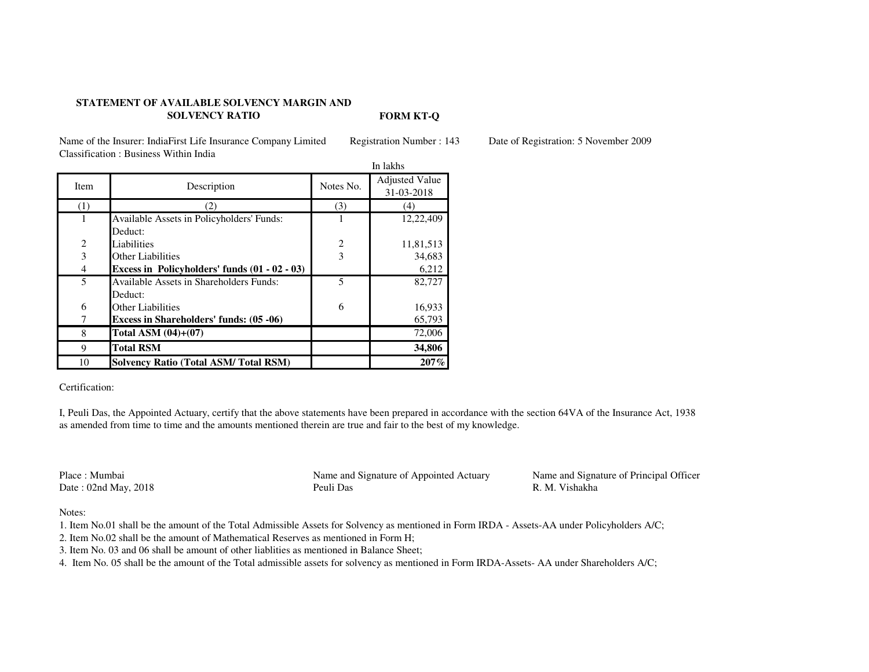## **STATEMENT OF AVAILABLE SOLVENCY MARGIN AND SOLVENCY RATIO**

**FORM KT-Q**

Name of the Insurer: IndiaFirst Life Insurance Company Limited Registration Number : 143 Date of Registration: 5 November 2009Classification : Business Within India

|                |                                                 | In lakhs       |                       |
|----------------|-------------------------------------------------|----------------|-----------------------|
| Item           | Description                                     | Notes No.      | <b>Adjusted Value</b> |
|                |                                                 |                | 31-03-2018            |
| (1)            | 2)                                              | (3)            | (4)                   |
|                | Available Assets in Policyholders' Funds:       | 1              | 12,22,409             |
|                | Deduct:                                         |                |                       |
| $\overline{2}$ | Liabilities                                     | $\overline{2}$ | 11,81,513             |
| 3              | Other Liabilities                               | 3              | 34,683                |
| $\overline{4}$ | Excess in Policyholders' funds $(01 - 02 - 03)$ |                | 6,212                 |
| 5              | Available Assets in Shareholders Funds:         | 5              | 82,727                |
|                | Deduct:                                         |                |                       |
| 6              | Other Liabilities                               | 6              | 16,933                |
| 7              | <b>Excess in Shareholders' funds: (05 -06)</b>  |                | 65,793                |
| 8              | Total ASM $(04)+(07)$                           |                | 72,006                |
| 9              | <b>Total RSM</b>                                |                | 34,806                |
| 10             | <b>Solvency Ratio (Total ASM/Total RSM)</b>     |                | 207%                  |

Certification:

I, Peuli Das, the Appointed Actuary, certify that the above statements have been prepared in accordance with the section 64VA of the Insurance Act, 1938 as amended from time to time and the amounts mentioned therein are true and fair to the best of my knowledge.

Place : MumbaiDate:  $02$ nd May,  $2018$  Name and Signature of Appointed Actuary Name and Signature of Principal Officer<br>Peuli Das R. M. Vishakha

R. M. Vishakha

Notes:

1. Item No.01 shall be the amount of the Total Admissible Assets for Solvency as mentioned in Form IRDA - Assets-AA under Policyholders A/C;

2. Item No.02 shall be the amount of Mathematical Reserves as mentioned in Form H;

3. Item No. 03 and 06 shall be amount of other liablities as mentioned in Balance Sheet;

4. Item No. 05 shall be the amount of the Total admissible assets for solvency as mentioned in Form IRDA-Assets- AA under Shareholders A/C;